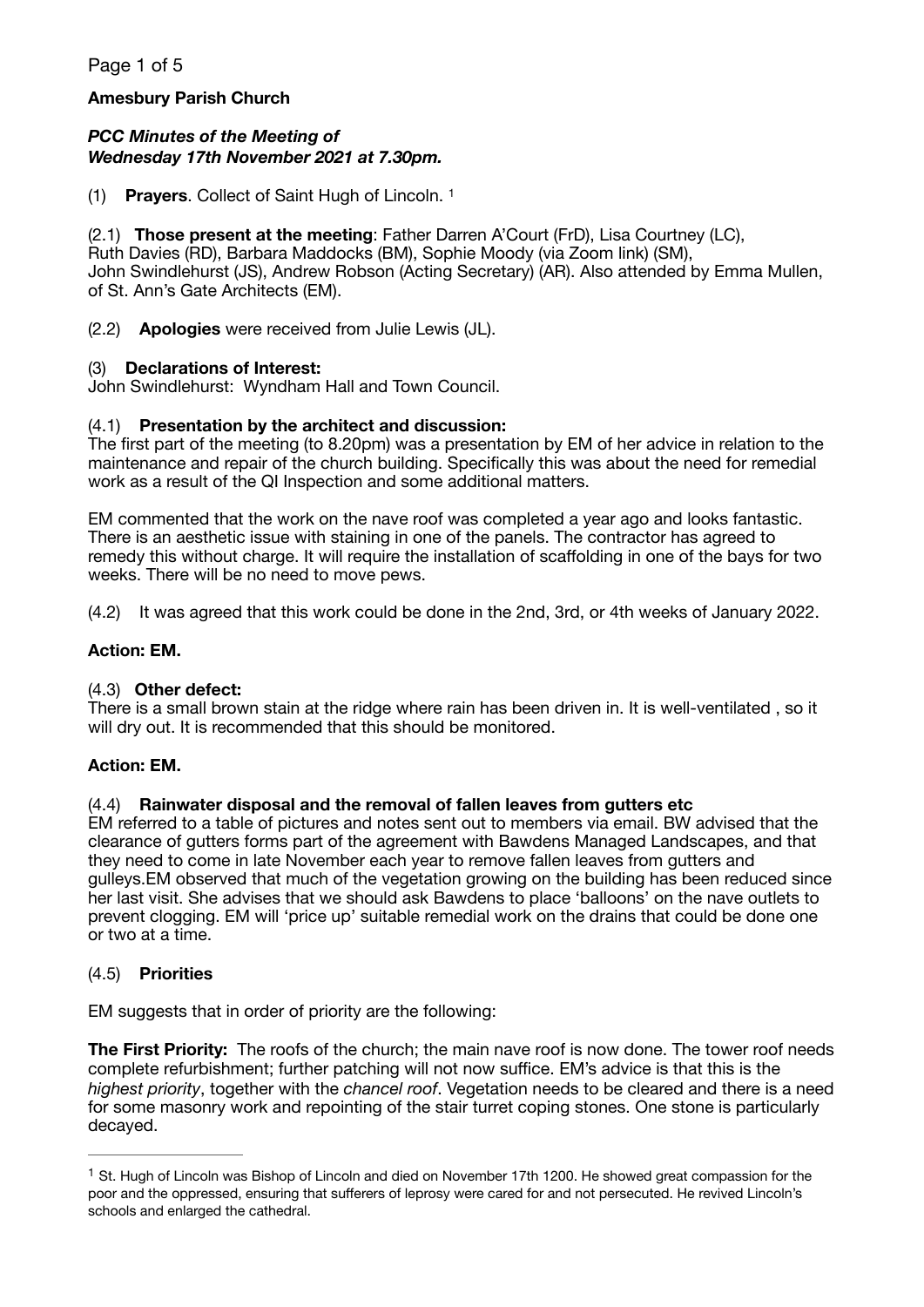## **Amesbury Parish Church**

## *PCC Minutes of the Meeting of Wednesday 17th November 2021 at 7.30pm.*

<span id="page-0-1"></span>(1) **Prayers**. Collect of Saint Hugh of Lincoln. [1](#page-0-0)

(2.1) **Those present at the meeting**: Father Darren A'Court (FrD), Lisa Courtney (LC), Ruth Davies (RD), Barbara Maddocks (BM), Sophie Moody (via Zoom link) (SM), John Swindlehurst (JS), Andrew Robson (Acting Secretary) (AR). Also attended by Emma Mullen, of St. Ann's Gate Architects (EM).

(2.2) **Apologies** were received from Julie Lewis (JL).

## (3) **Declarations of Interest:**

John Swindlehurst: Wyndham Hall and Town Council.

## (4.1) **Presentation by the architect and discussion:**

The first part of the meeting (to 8.20pm) was a presentation by EM of her advice in relation to the maintenance and repair of the church building. Specifically this was about the need for remedial work as a result of the QI Inspection and some additional matters.

EM commented that the work on the nave roof was completed a year ago and looks fantastic. There is an aesthetic issue with staining in one of the panels. The contractor has agreed to remedy this without charge. It will require the installation of scaffolding in one of the bays for two weeks. There will be no need to move pews.

(4.2) It was agreed that this work could be done in the 2nd, 3rd, or 4th weeks of January 2022.

## **Action: EM.**

## (4.3) **Other defect:**

There is a small brown stain at the ridge where rain has been driven in. It is well-ventilated , so it will dry out. It is recommended that this should be monitored.

## **Action: EM.**

## (4.4) **Rainwater disposal and the removal of fallen leaves from gutters etc**

EM referred to a table of pictures and notes sent out to members via email. BW advised that the clearance of gutters forms part of the agreement with Bawdens Managed Landscapes, and that they need to come in late November each year to remove fallen leaves from gutters and gulleys.EM observed that much of the vegetation growing on the building has been reduced since her last visit. She advises that we should ask Bawdens to place 'balloons' on the nave outlets to prevent clogging. EM will 'price up' suitable remedial work on the drains that could be done one or two at a time.

## (4.5) **Priorities**

EM suggests that in order of priority are the following:

**The First Priority:** The roofs of the church; the main nave roof is now done. The tower roof needs complete refurbishment; further patching will not now suffice. EM's advice is that this is the *highest priority*, together with the *chancel roof*. Vegetation needs to be cleared and there is a need for some masonry work and repointing of the stair turret coping stones. One stone is particularly decayed.

<span id="page-0-0"></span> $1$  St. Hugh of Lincoln was Bishop of Lincoln and died on November 17th 1200. He showed great compassion for the poor and the oppressed, ensuring that sufferers of leprosy were cared for and not persecuted. He revived Lincoln's schools and enlarged the cathedral.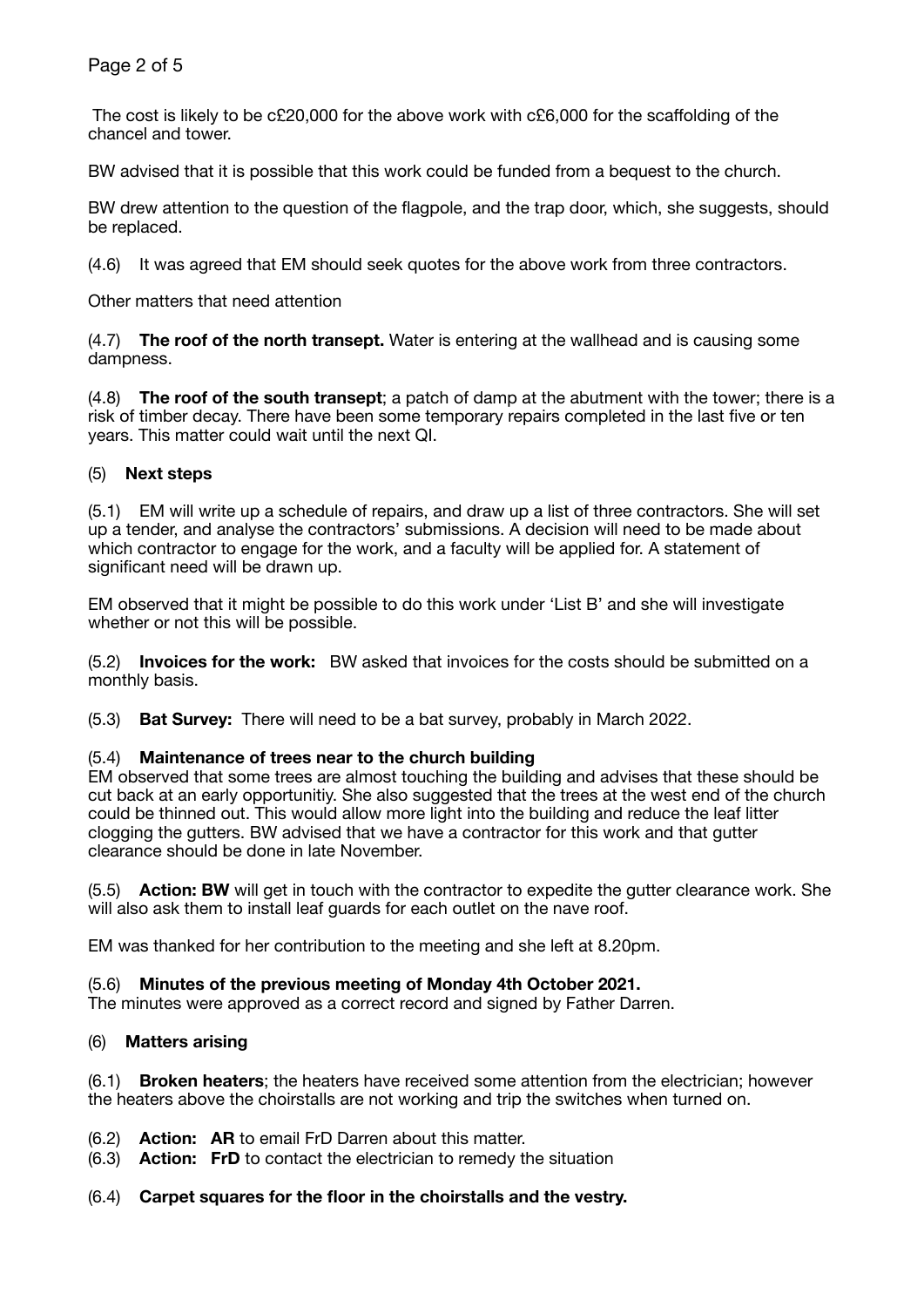The cost is likely to be c£20,000 for the above work with c£6,000 for the scaffolding of the chancel and tower.

BW advised that it is possible that this work could be funded from a bequest to the church.

BW drew attention to the question of the flagpole, and the trap door, which, she suggests, should be replaced.

(4.6) It was agreed that EM should seek quotes for the above work from three contractors.

Other matters that need attention

(4.7) **The roof of the north transept.** Water is entering at the wallhead and is causing some dampness.

(4.8) **The roof of the south transept**; a patch of damp at the abutment with the tower; there is a risk of timber decay. There have been some temporary repairs completed in the last five or ten years. This matter could wait until the next QI.

## (5) **Next steps**

(5.1) EM will write up a schedule of repairs, and draw up a list of three contractors. She will set up a tender, and analyse the contractors' submissions. A decision will need to be made about which contractor to engage for the work, and a faculty will be applied for. A statement of significant need will be drawn up.

EM observed that it might be possible to do this work under 'List B' and she will investigate whether or not this will be possible.

(5.2) **Invoices for the work:** BW asked that invoices for the costs should be submitted on a monthly basis.

(5.3) **Bat Survey:** There will need to be a bat survey, probably in March 2022.

### (5.4) **Maintenance of trees near to the church building**

EM observed that some trees are almost touching the building and advises that these should be cut back at an early opportunitiy. She also suggested that the trees at the west end of the church could be thinned out. This would allow more light into the building and reduce the leaf litter clogging the gutters. BW advised that we have a contractor for this work and that gutter clearance should be done in late November.

(5.5) **Action: BW** will get in touch with the contractor to expedite the gutter clearance work. She will also ask them to install leaf guards for each outlet on the nave roof.

EM was thanked for her contribution to the meeting and she left at 8.20pm.

### (5.6) **Minutes of the previous meeting of Monday 4th October 2021.**

The minutes were approved as a correct record and signed by Father Darren.

### (6) **Matters arising**

(6.1) **Broken heaters**; the heaters have received some attention from the electrician; however the heaters above the choirstalls are not working and trip the switches when turned on.

- (6.2) **Action: AR** to email FrD Darren about this matter.
- (6.3) **Action: FrD** to contact the electrician to remedy the situation
- (6.4) **Carpet squares for the floor in the choirstalls and the vestry.**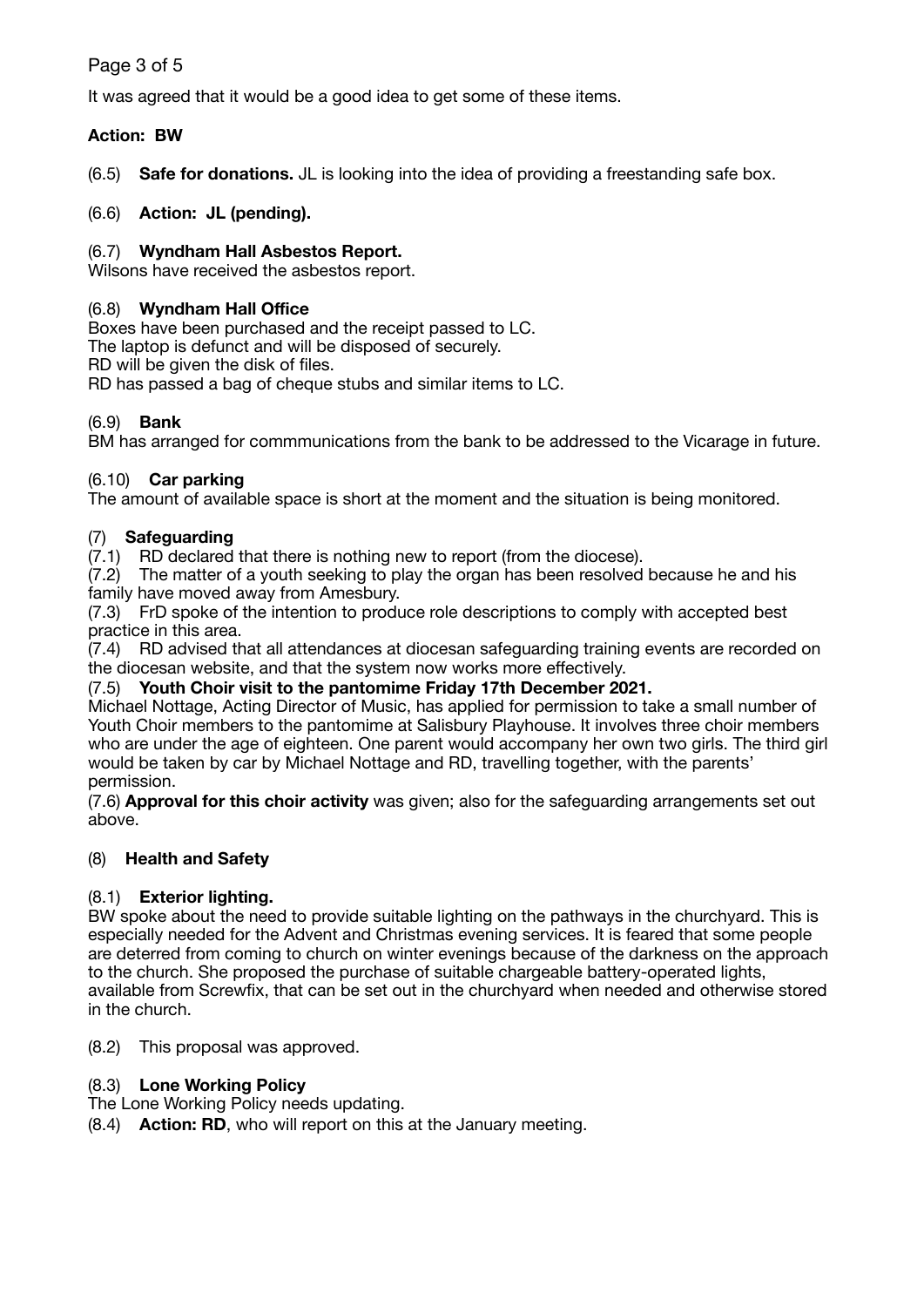# Page 3 of 5

It was agreed that it would be a good idea to get some of these items.

# **Action: BW**

(6.5) **Safe for donations.** JL is looking into the idea of providing a freestanding safe box.

## (6.6) **Action: JL (pending).**

## (6.7) **Wyndham Hall Asbestos Report.**

Wilsons have received the asbestos report.

## (6.8) **Wyndham Hall Office**

Boxes have been purchased and the receipt passed to LC.

The laptop is defunct and will be disposed of securely.

RD will be given the disk of files.

RD has passed a bag of cheque stubs and similar items to LC.

## (6.9) **Bank**

BM has arranged for commmunications from the bank to be addressed to the Vicarage in future.

## (6.10) **Car parking**

The amount of available space is short at the moment and the situation is being monitored.

## (7) **Safeguarding**

(7.1) RD declared that there is nothing new to report (from the diocese).

(7.2) The matter of a youth seeking to play the organ has been resolved because he and his family have moved away from Amesbury.

(7.3) FrD spoke of the intention to produce role descriptions to comply with accepted best practice in this area.

(7.4) RD advised that all attendances at diocesan safeguarding training events are recorded on the diocesan website, and that the system now works more effectively.

(7.5) **Youth Choir visit to the pantomime Friday 17th December 2021.**

Michael Nottage, Acting Director of Music, has applied for permission to take a small number of Youth Choir members to the pantomime at Salisbury Playhouse. It involves three choir members who are under the age of eighteen. One parent would accompany her own two girls. The third girl would be taken by car by Michael Nottage and RD, travelling together, with the parents' permission.

(7.6) **Approval for this choir activity** was given; also for the safeguarding arrangements set out above.

## (8) **Health and Safety**

## (8.1) **Exterior lighting.**

BW spoke about the need to provide suitable lighting on the pathways in the churchyard. This is especially needed for the Advent and Christmas evening services. It is feared that some people are deterred from coming to church on winter evenings because of the darkness on the approach to the church. She proposed the purchase of suitable chargeable battery-operated lights, available from Screwfix, that can be set out in the churchyard when needed and otherwise stored in the church.

(8.2) This proposal was approved.

## (8.3) **Lone Working Policy**

The Lone Working Policy needs updating.

(8.4) **Action: RD**, who will report on this at the January meeting.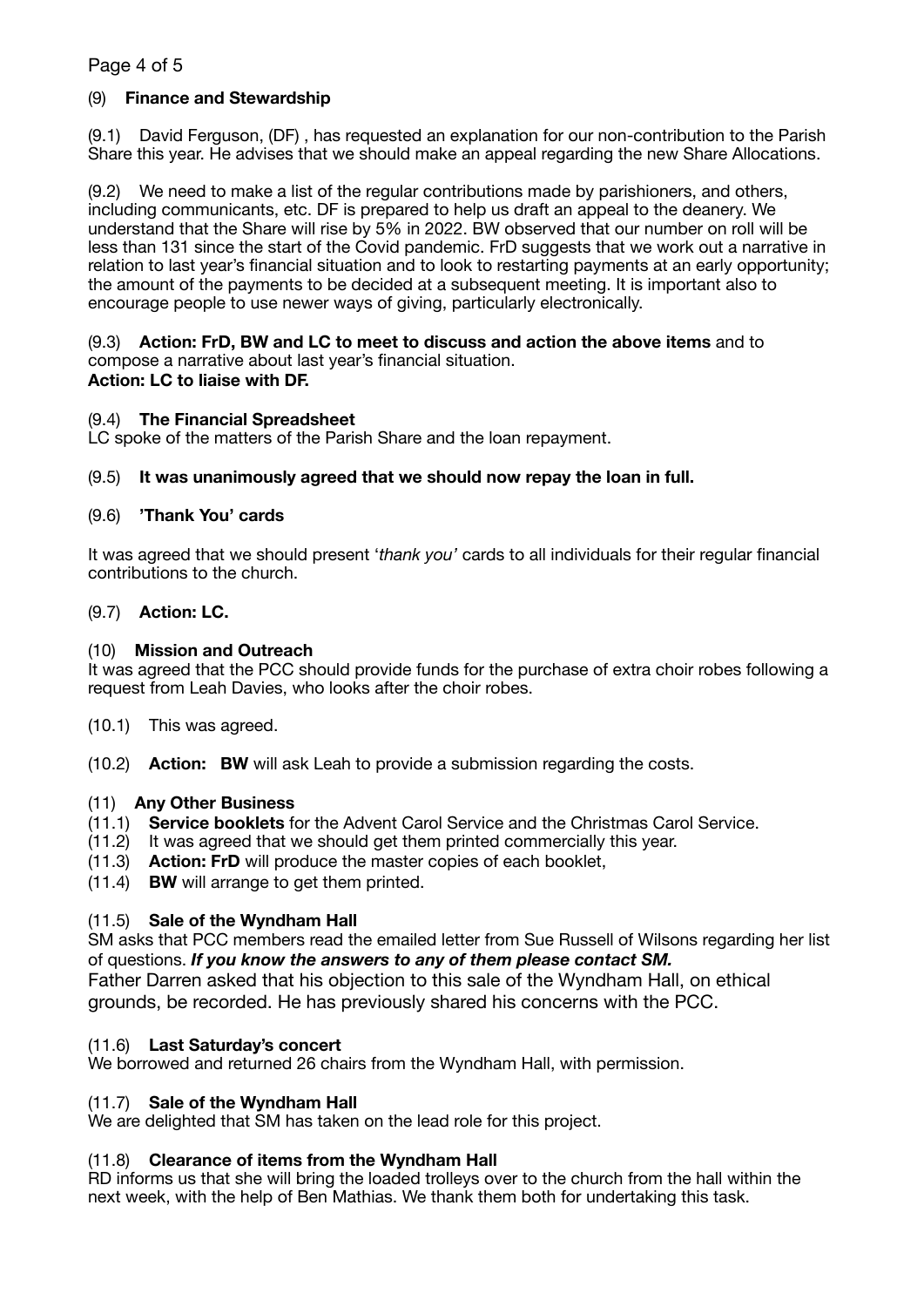# Page 4 of 5

# (9) **Finance and Stewardship**

(9.1) David Ferguson, (DF) , has requested an explanation for our non-contribution to the Parish Share this year. He advises that we should make an appeal regarding the new Share Allocations.

(9.2) We need to make a list of the regular contributions made by parishioners, and others, including communicants, etc. DF is prepared to help us draft an appeal to the deanery. We understand that the Share will rise by 5% in 2022. BW observed that our number on roll will be less than 131 since the start of the Covid pandemic. FrD suggests that we work out a narrative in relation to last year's financial situation and to look to restarting payments at an early opportunity; the amount of the payments to be decided at a subsequent meeting. It is important also to encourage people to use newer ways of giving, particularly electronically.

# (9.3) **Action: FrD, BW and LC to meet to discuss and action the above items** and to

compose a narrative about last year's financial situation. **Action: LC to liaise with DF.** 

### (9.4) **The Financial Spreadsheet**

LC spoke of the matters of the Parish Share and the loan repayment.

### (9.5) **It was unanimously agreed that we should now repay the loan in full.**

### (9.6) **'Thank You' cards**

It was agreed that we should present '*thank you'* cards to all individuals for their regular financial contributions to the church.

### (9.7) **Action: LC.**

### (10) **Mission and Outreach**

It was agreed that the PCC should provide funds for the purchase of extra choir robes following a request from Leah Davies, who looks after the choir robes.

(10.1) This was agreed.

(10.2) **Action: BW** will ask Leah to provide a submission regarding the costs.

### (11) **Any Other Business**

- (11.1) **Service booklets** for the Advent Carol Service and the Christmas Carol Service.
- (11.2) It was agreed that we should get them printed commercially this year.
- (11.3) **Action: FrD** will produce the master copies of each booklet,
- (11.4) **BW** will arrange to get them printed.

### (11.5) **Sale of the Wyndham Hall**

SM asks that PCC members read the emailed letter from Sue Russell of Wilsons regarding her list of questions. *If you know the answers to any of them please contact SM.*

Father Darren asked that his objection to this sale of the Wyndham Hall, on ethical grounds, be recorded. He has previously shared his concerns with the PCC.

### (11.6) **Last Saturday's concert**

We borrowed and returned 26 chairs from the Wyndham Hall, with permission.

### (11.7) **Sale of the Wyndham Hall**

We are delighted that SM has taken on the lead role for this project.

### (11.8) **Clearance of items from the Wyndham Hall**

RD informs us that she will bring the loaded trolleys over to the church from the hall within the next week, with the help of Ben Mathias. We thank them both for undertaking this task.